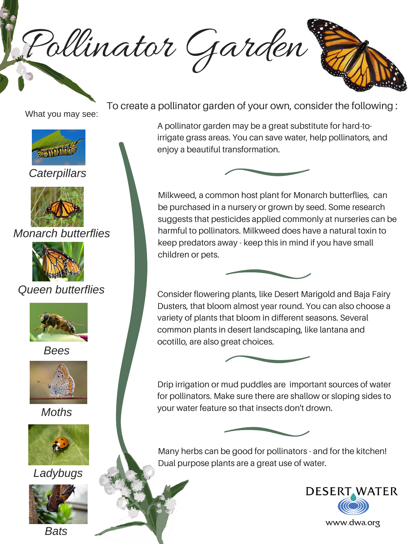Pollinator Garden



What you may see:



*Caterpillars*



*Monarch butterflies*



*Queen butterflies*



*Bees*



*Moths*







To create a pollinator garden of your own, consider the following :

A pollinator garden may be a great substitute for hard-toirrigate grass areas. You can save water, help pollinators, and enjoy a beautiful transformation.



Milkweed, a common host plant for Monarch butterflies, can be purchased in a nursery or grown by seed. Some research suggests that pesticides applied commonly at nurseries can be harmful to pollinators. Milkweed does have a natural toxin to keep predators away - keep this in mind if you have small children or pets.



Consider flowering plants, like Desert Marigold and Baja Fairy Dusters, that bloom almost year round. You can also choose a variety of plants that bloom in different seasons. Several common plants in desert landscaping, like lantana and ocotillo, are also great choices.



Drip irrigation or mud puddles are important sources of water for pollinators. Make sure there are shallow or sloping sides to your water feature so that insects don't drown.



Many herbs can be good for pollinators - and for the kitchen! Dual purpose plants are a great use of water.



www.dwa.org